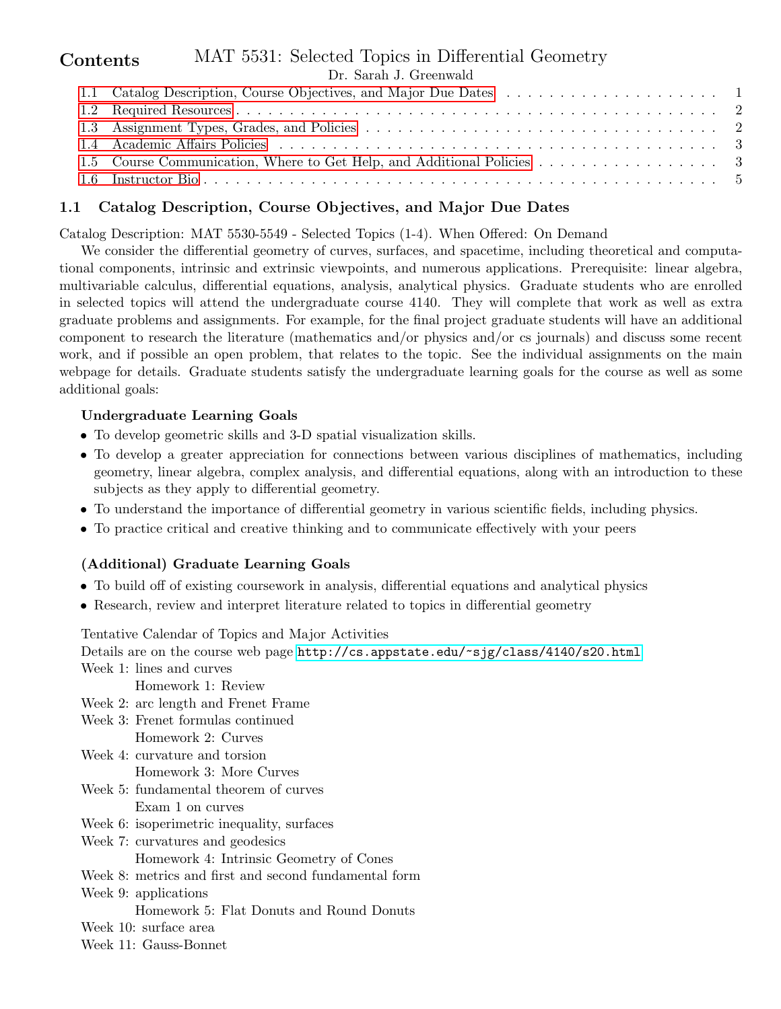#### MAT 5531: Selected Topics in Differential Geometry Dr. Sarah J. Greenwald Contents [1.1 Catalog Description, Course Objectives, and Major Due Dates](#page-0-0) . . . . . . . . . . . . . . . . . . 1 [1.2 Required Resources](#page-1-0) . . . . . . . . . . . . . . . . . . . . . . . . . . . . . . . . . . . . . . . . . . . . . 2 [1.3 Assignment Types, Grades, and Policies](#page-1-1) . . . . . . . . . . . . . . . . . . . . . . . . . . . . . . . . . 2 [1.4 Academic Affairs Policies](#page-2-0) . . . . . . . . . . . . . . . . . . . . . . . . . . . . . . . . . . . . . . . . . 3

[1.5 Course Communication, Where to Get Help, and Additional Policies](#page-2-1) . . . . . . . . . . . . . . . . . 3 [1.6 Instructor Bio](#page-4-0) . . . . . . . . . . . . . . . . . . . . . . . . . . . . . . . . . . . . . . . . . . . . . . . . 5

# <span id="page-0-0"></span>1.1 Catalog Description, Course Objectives, and Major Due Dates

Catalog Description: MAT 5530-5549 - Selected Topics (1-4). When Offered: On Demand

We consider the differential geometry of curves, surfaces, and spacetime, including theoretical and computational components, intrinsic and extrinsic viewpoints, and numerous applications. Prerequisite: linear algebra, multivariable calculus, differential equations, analysis, analytical physics. Graduate students who are enrolled in selected topics will attend the undergraduate course 4140. They will complete that work as well as extra graduate problems and assignments. For example, for the final project graduate students will have an additional component to research the literature (mathematics and/or physics and/or cs journals) and discuss some recent work, and if possible an open problem, that relates to the topic. See the individual assignments on the main webpage for details. Graduate students satisfy the undergraduate learning goals for the course as well as some additional goals:

#### Undergraduate Learning Goals

- To develop geometric skills and 3-D spatial visualization skills.
- To develop a greater appreciation for connections between various disciplines of mathematics, including geometry, linear algebra, complex analysis, and differential equations, along with an introduction to these subjects as they apply to differential geometry.
- To understand the importance of differential geometry in various scientific fields, including physics.
- To practice critical and creative thinking and to communicate effectively with your peers

# (Additional) Graduate Learning Goals

- To build off of existing coursework in analysis, differential equations and analytical physics
- Research, review and interpret literature related to topics in differential geometry

Tentative Calendar of Topics and Major Activities

Details are on the course web page <http://cs.appstate.edu/~sjg/class/4140/s20.html> Week 1: lines and curves

Homework 1: Review

- Week 2: arc length and Frenet Frame
- Week 3: Frenet formulas continued Homework 2: Curves
- Week 4: curvature and torsion Homework 3: More Curves
- Week 5: fundamental theorem of curves Exam 1 on curves
- Week 6: isoperimetric inequality, surfaces
- Week 7: curvatures and geodesics
	- Homework 4: Intrinsic Geometry of Cones
- Week 8: metrics and first and second fundamental form
- Week 9: applications Homework 5: Flat Donuts and Round Donuts
- Week 10: surface area
- Week 11: Gauss-Bonnet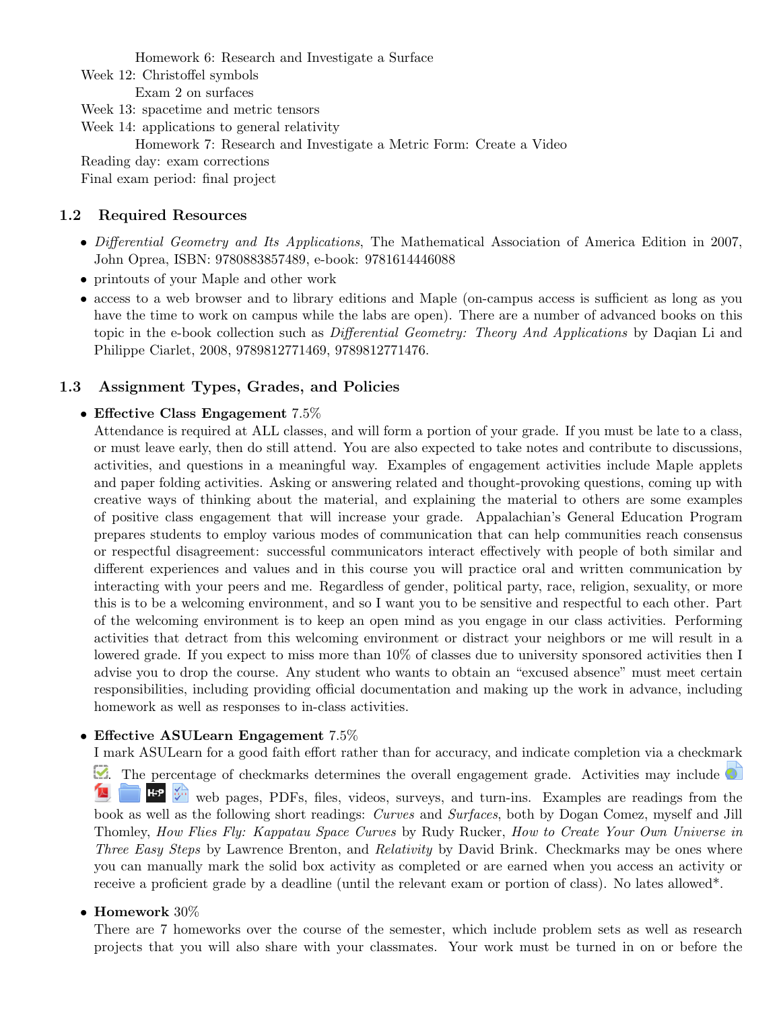Homework 6: Research and Investigate a Surface

Week 12: Christoffel symbols

Exam 2 on surfaces

Week 13: spacetime and metric tensors

Week 14: applications to general relativity

Homework 7: Research and Investigate a Metric Form: Create a Video

Reading day: exam corrections

Final exam period: final project

### <span id="page-1-0"></span>1.2 Required Resources

- Differential Geometry and Its Applications, The Mathematical Association of America Edition in 2007, John Oprea, ISBN: 9780883857489, e-book: 9781614446088
- printouts of your Maple and other work
- access to a web browser and to library editions and Maple (on-campus access is sufficient as long as you have the time to work on campus while the labs are open). There are a number of advanced books on this topic in the e-book collection such as Differential Geometry: Theory And Applications by Daqian Li and Philippe Ciarlet, 2008, 9789812771469, 9789812771476.

# <span id="page-1-1"></span>1.3 Assignment Types, Grades, and Policies

#### • Effective Class Engagement 7.5%

Attendance is required at ALL classes, and will form a portion of your grade. If you must be late to a class, or must leave early, then do still attend. You are also expected to take notes and contribute to discussions, activities, and questions in a meaningful way. Examples of engagement activities include Maple applets and paper folding activities. Asking or answering related and thought-provoking questions, coming up with creative ways of thinking about the material, and explaining the material to others are some examples of positive class engagement that will increase your grade. Appalachian's General Education Program prepares students to employ various modes of communication that can help communities reach consensus or respectful disagreement: successful communicators interact effectively with people of both similar and different experiences and values and in this course you will practice oral and written communication by interacting with your peers and me. Regardless of gender, political party, race, religion, sexuality, or more this is to be a welcoming environment, and so I want you to be sensitive and respectful to each other. Part of the welcoming environment is to keep an open mind as you engage in our class activities. Performing activities that detract from this welcoming environment or distract your neighbors or me will result in a lowered grade. If you expect to miss more than 10% of classes due to university sponsored activities then I advise you to drop the course. Any student who wants to obtain an "excused absence" must meet certain responsibilities, including providing official documentation and making up the work in advance, including homework as well as responses to in-class activities.

# • Effective ASULearn Engagement 7.5%

I mark ASULearn for a good faith effort rather than for accuracy, and indicate completion via a checkmark . The percentage of checkmarks determines the overall engagement grade. Activities may include  $\mathbb{Z}$ web pages, PDFs, files, videos, surveys, and turn-ins. Examples are readings from the book as well as the following short readings: Curves and Surfaces, both by Dogan Comez, myself and Jill Thomley, How Flies Fly: Kappatau Space Curves by Rudy Rucker, How to Create Your Own Universe in Three Easy Steps by Lawrence Brenton, and Relativity by David Brink. Checkmarks may be ones where you can manually mark the solid box activity as completed or are earned when you access an activity or receive a proficient grade by a deadline (until the relevant exam or portion of class). No lates allowed\*.

#### • Homework 30%

There are 7 homeworks over the course of the semester, which include problem sets as well as research projects that you will also share with your classmates. Your work must be turned in on or before the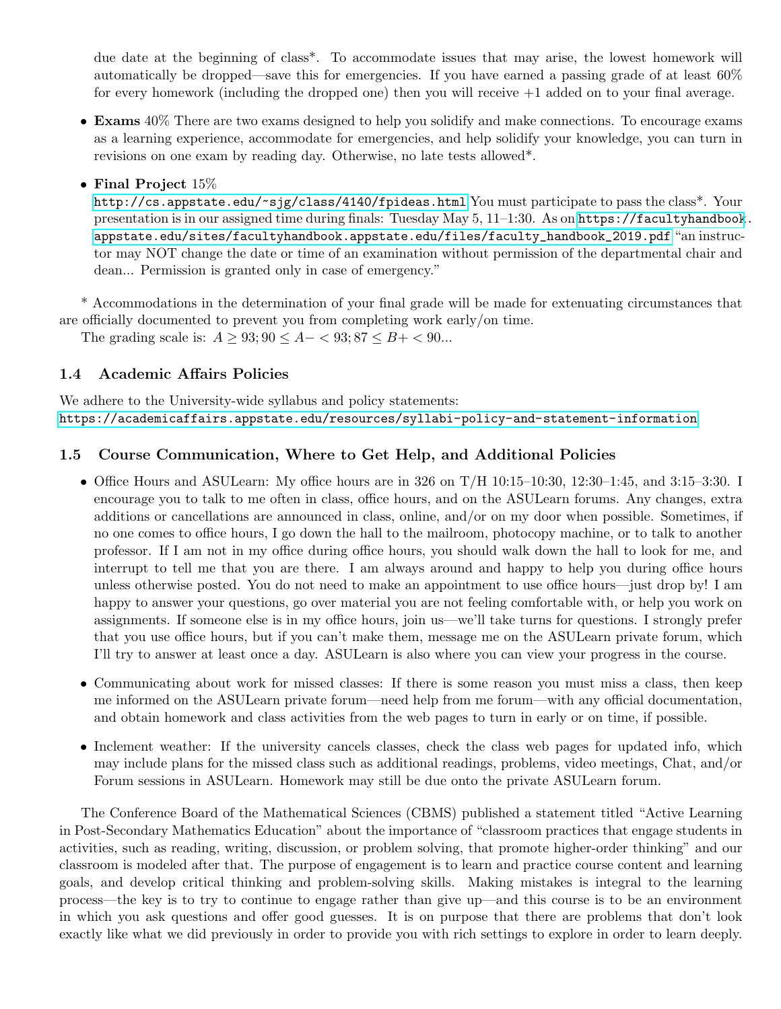due date at the beginning of class\*. To accommodate issues that may arise, the lowest homework will automatically be dropped—save this for emergencies. If you have earned a passing grade of at least 60% for every homework (including the dropped one) then you will receive +1 added on to your final average.

- Exams 40% There are two exams designed to help you solidify and make connections. To encourage exams as a learning experience, accommodate for emergencies, and help solidify your knowledge, you can turn in revisions on one exam by reading day. Otherwise, no late tests allowed\*.
- Final Project 15\%

<http://cs.appstate.edu/~sjg/class/4140/fpideas.html> You must participate to pass the class\*. Your presentation is in our assigned time during finals: Tuesday May 5, 11–1:30. As on [https://facultyhandbook](https://facultyhandbook.appstate.edu/sites/facultyhandbook.appstate.edu/files/faculty_handbook_2019.pdf). [appstate.edu/sites/facultyhandbook.appstate.edu/files/faculty\\_handbook\\_2019.pdf](https://facultyhandbook.appstate.edu/sites/facultyhandbook.appstate.edu/files/faculty_handbook_2019.pdf) "an instructor may NOT change the date or time of an examination without permission of the departmental chair and dean... Permission is granted only in case of emergency."

\* Accommodations in the determination of your final grade will be made for extenuating circumstances that are officially documented to prevent you from completing work early/on time.

The grading scale is:  $A \ge 93; 90 \le A - 93; 87 \le B + 90...$ 

#### <span id="page-2-0"></span>1.4 Academic Affairs Policies

We adhere to the University-wide syllabus and policy statements: <https://academicaffairs.appstate.edu/resources/syllabi-policy-and-statement-information>

#### <span id="page-2-1"></span>1.5 Course Communication, Where to Get Help, and Additional Policies

- Office Hours and ASULearn: My office hours are in 326 on T/H 10:15–10:30, 12:30–1:45, and 3:15–3:30. I encourage you to talk to me often in class, office hours, and on the ASULearn forums. Any changes, extra additions or cancellations are announced in class, online, and/or on my door when possible. Sometimes, if no one comes to office hours, I go down the hall to the mailroom, photocopy machine, or to talk to another professor. If I am not in my office during office hours, you should walk down the hall to look for me, and interrupt to tell me that you are there. I am always around and happy to help you during office hours unless otherwise posted. You do not need to make an appointment to use office hours—just drop by! I am happy to answer your questions, go over material you are not feeling comfortable with, or help you work on assignments. If someone else is in my office hours, join us—we'll take turns for questions. I strongly prefer that you use office hours, but if you can't make them, message me on the ASULearn private forum, which I'll try to answer at least once a day. ASULearn is also where you can view your progress in the course.
- Communicating about work for missed classes: If there is some reason you must miss a class, then keep me informed on the ASULearn private forum—need help from me forum—with any official documentation, and obtain homework and class activities from the web pages to turn in early or on time, if possible.
- Inclement weather: If the university cancels classes, check the class web pages for updated info, which may include plans for the missed class such as additional readings, problems, video meetings, Chat, and/or Forum sessions in ASULearn. Homework may still be due onto the private ASULearn forum.

The Conference Board of the Mathematical Sciences (CBMS) published a statement titled "Active Learning in Post-Secondary Mathematics Education" about the importance of "classroom practices that engage students in activities, such as reading, writing, discussion, or problem solving, that promote higher-order thinking" and our classroom is modeled after that. The purpose of engagement is to learn and practice course content and learning goals, and develop critical thinking and problem-solving skills. Making mistakes is integral to the learning process—the key is to try to continue to engage rather than give up—and this course is to be an environment in which you ask questions and offer good guesses. It is on purpose that there are problems that don't look exactly like what we did previously in order to provide you with rich settings to explore in order to learn deeply.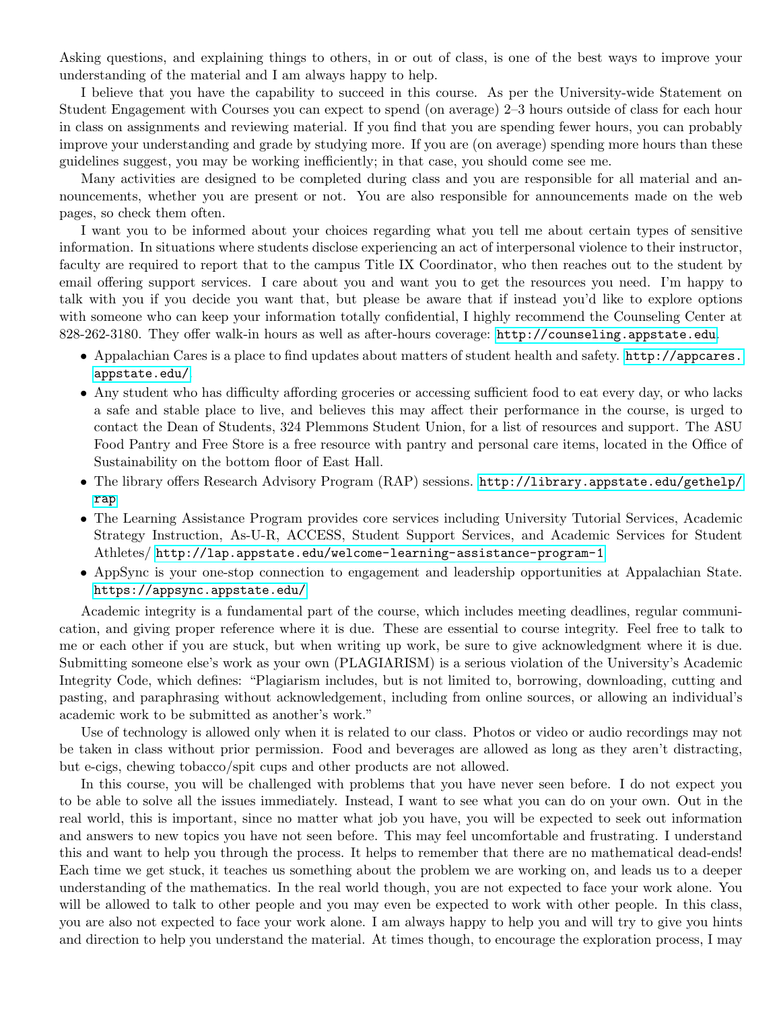Asking questions, and explaining things to others, in or out of class, is one of the best ways to improve your understanding of the material and I am always happy to help.

I believe that you have the capability to succeed in this course. As per the University-wide Statement on Student Engagement with Courses you can expect to spend (on average) 2–3 hours outside of class for each hour in class on assignments and reviewing material. If you find that you are spending fewer hours, you can probably improve your understanding and grade by studying more. If you are (on average) spending more hours than these guidelines suggest, you may be working inefficiently; in that case, you should come see me.

Many activities are designed to be completed during class and you are responsible for all material and announcements, whether you are present or not. You are also responsible for announcements made on the web pages, so check them often.

I want you to be informed about your choices regarding what you tell me about certain types of sensitive information. In situations where students disclose experiencing an act of interpersonal violence to their instructor, faculty are required to report that to the campus Title IX Coordinator, who then reaches out to the student by email offering support services. I care about you and want you to get the resources you need. I'm happy to talk with you if you decide you want that, but please be aware that if instead you'd like to explore options with someone who can keep your information totally confidential, I highly recommend the Counseling Center at 828-262-3180. They offer walk-in hours as well as after-hours coverage: <http://counseling.appstate.edu>.

- Appalachian Cares is a place to find updates about matters of student health and safety. [http://appcares.](http://appcares.appstate.edu/) [appstate.edu/](http://appcares.appstate.edu/).
- Any student who has difficulty affording groceries or accessing sufficient food to eat every day, or who lacks a safe and stable place to live, and believes this may affect their performance in the course, is urged to contact the Dean of Students, 324 Plemmons Student Union, for a list of resources and support. The ASU Food Pantry and Free Store is a free resource with pantry and personal care items, located in the Office of Sustainability on the bottom floor of East Hall.
- The library offers Research Advisory Program (RAP) sessions. [http://library.appstate.edu/gethelp/](http://library.appstate.edu/gethelp/rap) [rap](http://library.appstate.edu/gethelp/rap)
- The Learning Assistance Program provides core services including University Tutorial Services, Academic Strategy Instruction, As-U-R, ACCESS, Student Support Services, and Academic Services for Student Athletes/ <http://lap.appstate.edu/welcome-learning-assistance-program-1>
- AppSync is your one-stop connection to engagement and leadership opportunities at Appalachian State. <https://appsync.appstate.edu/>

Academic integrity is a fundamental part of the course, which includes meeting deadlines, regular communication, and giving proper reference where it is due. These are essential to course integrity. Feel free to talk to me or each other if you are stuck, but when writing up work, be sure to give acknowledgment where it is due. Submitting someone else's work as your own (PLAGIARISM) is a serious violation of the University's Academic Integrity Code, which defines: "Plagiarism includes, but is not limited to, borrowing, downloading, cutting and pasting, and paraphrasing without acknowledgement, including from online sources, or allowing an individual's academic work to be submitted as another's work."

Use of technology is allowed only when it is related to our class. Photos or video or audio recordings may not be taken in class without prior permission. Food and beverages are allowed as long as they aren't distracting, but e-cigs, chewing tobacco/spit cups and other products are not allowed.

In this course, you will be challenged with problems that you have never seen before. I do not expect you to be able to solve all the issues immediately. Instead, I want to see what you can do on your own. Out in the real world, this is important, since no matter what job you have, you will be expected to seek out information and answers to new topics you have not seen before. This may feel uncomfortable and frustrating. I understand this and want to help you through the process. It helps to remember that there are no mathematical dead-ends! Each time we get stuck, it teaches us something about the problem we are working on, and leads us to a deeper understanding of the mathematics. In the real world though, you are not expected to face your work alone. You will be allowed to talk to other people and you may even be expected to work with other people. In this class, you are also not expected to face your work alone. I am always happy to help you and will try to give you hints and direction to help you understand the material. At times though, to encourage the exploration process, I may